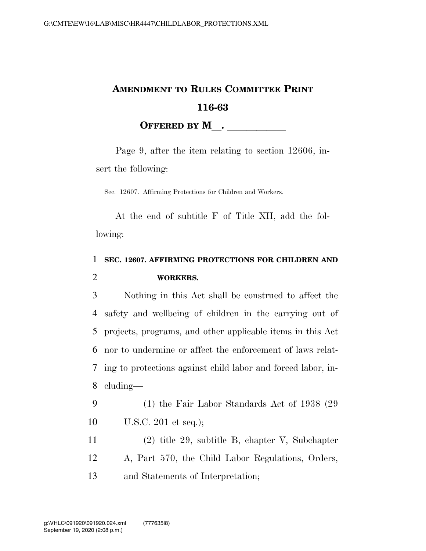## **AMENDMENT TO RULES COMMITTEE PRINT 116-63 OFFERED BY M**.

Page 9, after the item relating to section 12606, insert the following:

Sec. 12607. Affirming Protections for Children and Workers.

At the end of subtitle F of Title XII, add the following:

## 1 **SEC. 12607. AFFIRMING PROTECTIONS FOR CHILDREN AND**  2 **WORKERS.**

 Nothing in this Act shall be construed to affect the safety and wellbeing of children in the carrying out of projects, programs, and other applicable items in this Act nor to undermine or affect the enforcement of laws relat- ing to protections against child labor and forced labor, in-cluding—

9 (1) the Fair Labor Standards Act of 1938 (29 10 U.S.C. 201 et seq.);

11 (2) title 29, subtitle B, chapter V, Subchapter 12 A, Part 570, the Child Labor Regulations, Orders, 13 and Statements of Interpretation;